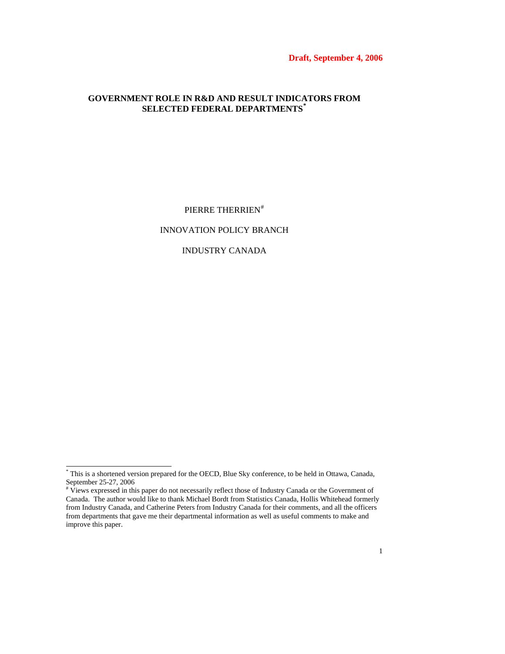**Draft, September 4, 2006** 

# **GOVERNMENT ROLE IN R&D AND RESULT INDICATORS FROM SELECTED FEDERAL DEPARTMENTS[\\*](#page-0-0)**

PIERRE THERRIEN<sup>[#](#page-0-1)</sup>

## INNOVATION POLICY BRANCH

# INDUSTRY CANADA

 \* This is a shortened version prepared for the OECD, Blue Sky conference, to be held in Ottawa, Canada,

<span id="page-0-1"></span><span id="page-0-0"></span>September 25-27, 2006 # Views expressed in this paper do not necessarily reflect those of Industry Canada or the Government of Canada. The author would like to thank Michael Bordt from Statistics Canada, Hollis Whitehead formerly from Industry Canada, and Catherine Peters from Industry Canada for their comments, and all the officers from departments that gave me their departmental information as well as useful comments to make and improve this paper.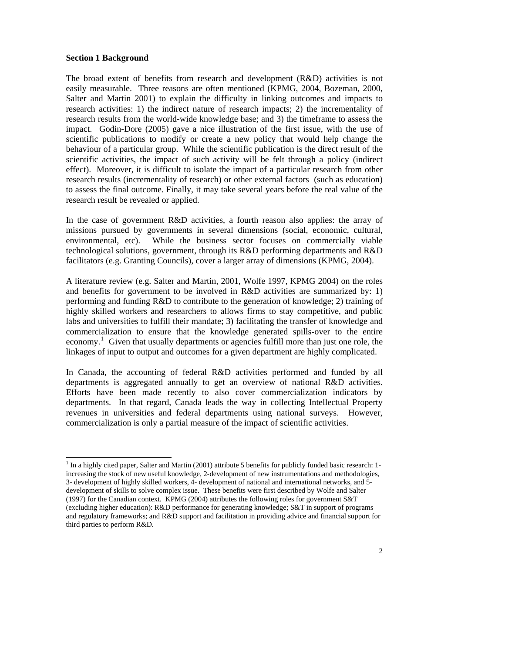### **Section 1 Background**

 $\overline{a}$ 

The broad extent of benefits from research and development (R&D) activities is not easily measurable. Three reasons are often mentioned (KPMG, 2004, Bozeman, 2000, Salter and Martin 2001) to explain the difficulty in linking outcomes and impacts to research activities: 1) the indirect nature of research impacts; 2) the incrementality of research results from the world-wide knowledge base; and 3) the timeframe to assess the impact. Godin-Dore (2005) gave a nice illustration of the first issue, with the use of scientific publications to modify or create a new policy that would help change the behaviour of a particular group. While the scientific publication is the direct result of the scientific activities, the impact of such activity will be felt through a policy (indirect effect). Moreover, it is difficult to isolate the impact of a particular research from other research results (incrementality of research) or other external factors (such as education) to assess the final outcome. Finally, it may take several years before the real value of the research result be revealed or applied.

In the case of government R&D activities, a fourth reason also applies: the array of missions pursued by governments in several dimensions (social, economic, cultural, environmental, etc). While the business sector focuses on commercially viable technological solutions, government, through its R&D performing departments and R&D facilitators (e.g. Granting Councils), cover a larger array of dimensions (KPMG, 2004).

A literature review (e.g. Salter and Martin, 2001, Wolfe 1997, KPMG 2004) on the roles and benefits for government to be involved in R&D activities are summarized by: 1) performing and funding R&D to contribute to the generation of knowledge; 2) training of highly skilled workers and researchers to allows firms to stay competitive, and public labs and universities to fulfill their mandate; 3) facilitating the transfer of knowledge and commercialization to ensure that the knowledge generated spills-over to the entire economy.<sup>[1](#page-1-0)</sup> Given that usually departments or agencies fulfill more than just one role, the linkages of input to output and outcomes for a given department are highly complicated.

In Canada, the accounting of federal R&D activities performed and funded by all departments is aggregated annually to get an overview of national R&D activities. Efforts have been made recently to also cover commercialization indicators by departments. In that regard, Canada leads the way in collecting Intellectual Property revenues in universities and federal departments using national surveys. However, commercialization is only a partial measure of the impact of scientific activities.

<span id="page-1-0"></span><sup>&</sup>lt;sup>1</sup> In a highly cited paper, Salter and Martin (2001) attribute 5 benefits for publicly funded basic research: 1increasing the stock of new useful knowledge, 2-development of new instrumentations and methodologies, 3- development of highly skilled workers, 4- development of national and international networks, and 5 development of skills to solve complex issue. These benefits were first described by Wolfe and Salter (1997) for the Canadian context. KPMG (2004) attributes the following roles for government S&T (excluding higher education): R&D performance for generating knowledge; S&T in support of programs and regulatory frameworks; and R&D support and facilitation in providing advice and financial support for third parties to perform R&D.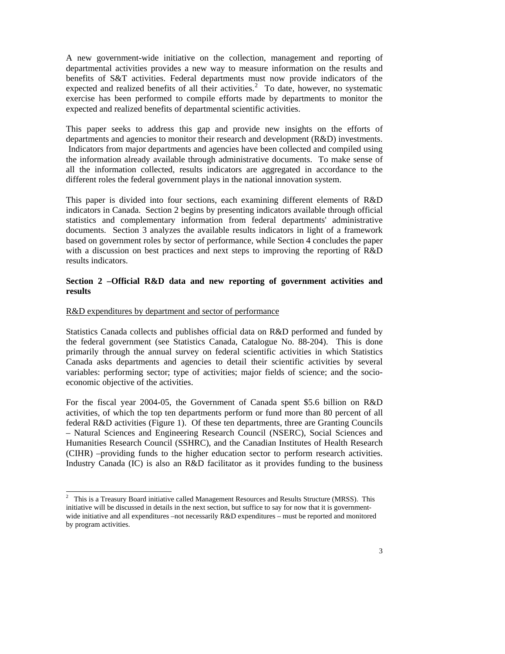A new government-wide initiative on the collection, management and reporting of departmental activities provides a new way to measure information on the results and benefits of S&T activities. Federal departments must now provide indicators of the expected and realized benefits of all their activities.<sup>[2](#page-2-0)</sup> To date, however, no systematic exercise has been performed to compile efforts made by departments to monitor the expected and realized benefits of departmental scientific activities.

This paper seeks to address this gap and provide new insights on the efforts of departments and agencies to monitor their research and development (R&D) investments. Indicators from major departments and agencies have been collected and compiled using the information already available through administrative documents. To make sense of all the information collected, results indicators are aggregated in accordance to the different roles the federal government plays in the national innovation system.

This paper is divided into four sections, each examining different elements of R&D indicators in Canada. Section 2 begins by presenting indicators available through official statistics and complementary information from federal departments' administrative documents. Section 3 analyzes the available results indicators in light of a framework based on government roles by sector of performance, while Section 4 concludes the paper with a discussion on best practices and next steps to improving the reporting of R&D results indicators.

# **Section 2 –Official R&D data and new reporting of government activities and results**

## R&D expenditures by department and sector of performance

Statistics Canada collects and publishes official data on R&D performed and funded by the federal government (see Statistics Canada, Catalogue No. 88-204). This is done primarily through the annual survey on federal scientific activities in which Statistics Canada asks departments and agencies to detail their scientific activities by several variables: performing sector; type of activities; major fields of science; and the socioeconomic objective of the activities.

For the fiscal year 2004-05, the Government of Canada spent \$5.6 billion on R&D activities, of which the top ten departments perform or fund more than 80 percent of all federal R&D activities (Figure 1). Of these ten departments, three are Granting Councils – Natural Sciences and Engineering Research Council (NSERC), Social Sciences and Humanities Research Council (SSHRC), and the Canadian Institutes of Health Research (CIHR) –providing funds to the higher education sector to perform research activities. Industry Canada (IC) is also an R&D facilitator as it provides funding to the business

<span id="page-2-0"></span><sup>&</sup>lt;sup>2</sup> This is a Treasury Board initiative called Management Resources and Results Structure (MRSS). This initiative will be discussed in details in the next section, but suffice to say for now that it is governmentwide initiative and all expenditures –not necessarily R&D expenditures – must be reported and monitored by program activities.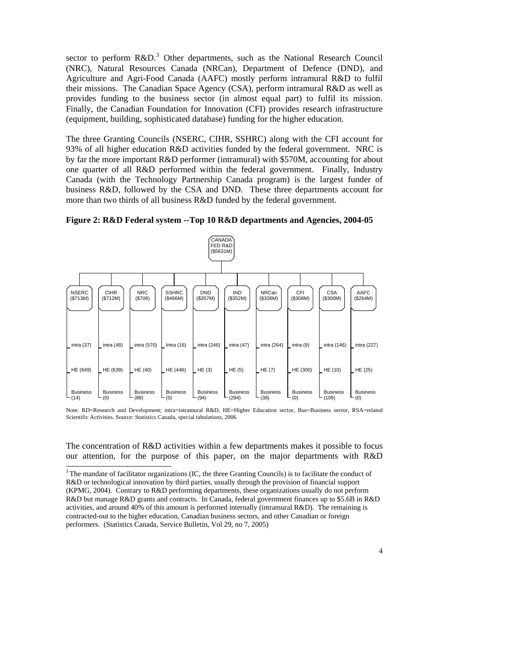<span id="page-3-0"></span>sector to perform  $R&D$ .<sup>[3](#page-3-0)</sup> Other departments, such as the National Research Council (NRC), Natural Resources Canada (NRCan), Department of Defence (DND), and Agriculture and Agri-Food Canada (AAFC) mostly perform intramural R&D to fulfil their missions. The Canadian Space Agency (CSA), perform intramural R&D as well as provides funding to the business sector (in almost equal part) to fulfil its mission. Finally, the Canadian Foundation for Innovation (CFI) provides research infrastructure (equipment, building, sophisticated database) funding for the higher education.

The three Granting Councils (NSERC, CIHR, SSHRC) along with the CFI account for 93% of all higher education R&D activities funded by the federal government. NRC is by far the more important R&D performer (intramural) with \$570M, accounting for about one quarter of all R&D performed within the federal government. Finally, Industry Canada (with the Technology Partnership Canada program) is the largest funder of business R&D, followed by the CSA and DND. These three departments account for more than two thirds of all business R&D funded by the federal government.



**Figure 2: R&D Federal system --Top 10 R&D departments and Agencies, 2004-05** 

Note: RD=Research and Development; intra=intramural R&D, HE=Higher Education sector, Bus=Business sector, RSA=related Scientific Activities. Source: Statistics Canada, special tabulations, 2006

The concentration of R&D activities within a few departments makes it possible to focus our attention, for the purpose of this paper, on the major departments with R&D

<sup>&</sup>lt;sup>3</sup> The mandate of facilitator organizations (IC, the three Granting Councils) is to facilitate the conduct of R&D or technological innovation by third parties, usually through the provision of financial support (KPMG, 2004). Contrary to R&D performing departments, these organizations usually do not perform R&D but manage R&D grants and contracts. In Canada, federal government finances up to \$5.6B in R&D activities, and around 40% of this amount is performed internally (intramural R&D). The remaining is contracted-out to the higher education, Canadian business sectors, and other Canadian or foreign performers. (Statistics Canada, Service Bulletin, Vol 29, no 7, 2005)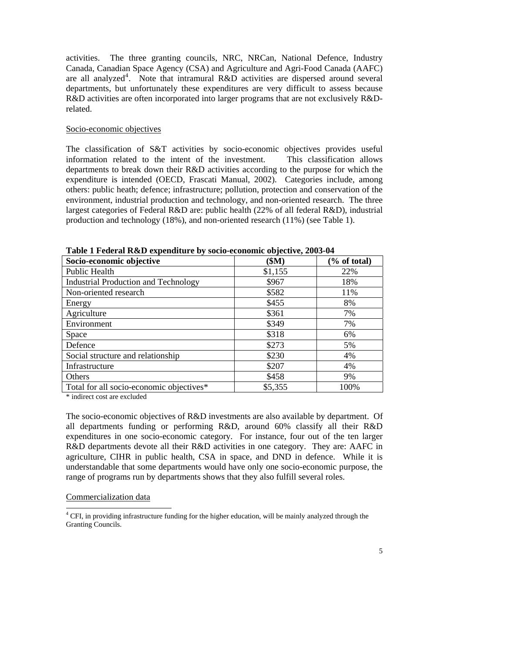<span id="page-4-0"></span>activities. The three granting councils, NRC, NRCan, National Defence, Industry Canada, Canadian Space Agency (CSA) and Agriculture and Agri-Food Canada (AAFC) are all analyzed<sup>[4](#page-4-0)</sup>. Note that intramural R&D activities are dispersed around several departments, but unfortunately these expenditures are very difficult to assess because R&D activities are often incorporated into larger programs that are not exclusively R&Drelated.

### Socio-economic objectives

The classification of S&T activities by socio-economic objectives provides useful information related to the intent of the investment. This classification allows departments to break down their R&D activities according to the purpose for which the expenditure is intended (OECD, Frascati Manual, 2002). Categories include, among others: public heath; defence; infrastructure; pollution, protection and conservation of the environment, industrial production and technology, and non-oriented research. The three largest categories of Federal R&D are: public health (22% of all federal R&D), industrial production and technology (18%), and non-oriented research (11%) (see Table 1).

| Socio-economic objective                    | \$M\$   | $\frac{6}{6}$ of total) |
|---------------------------------------------|---------|-------------------------|
| Public Health                               | \$1,155 | 22%                     |
| <b>Industrial Production and Technology</b> | \$967   | 18%                     |
| Non-oriented research                       | \$582   | 11%                     |
| Energy                                      | \$455   | 8%                      |
| Agriculture                                 | \$361   | 7%                      |
| Environment                                 | \$349   | 7%                      |
| Space                                       | \$318   | 6%                      |
| Defence                                     | \$273   | 5%                      |
| Social structure and relationship           | \$230   | 4%                      |
| Infrastructure                              | \$207   | 4%                      |
| Others                                      | \$458   | 9%                      |
| Total for all socio-economic objectives*    | \$5,355 | 100%                    |

**Table 1 Federal R&D expenditure by socio-economic objective, 2003-04** 

\* indirect cost are excluded

The socio-economic objectives of R&D investments are also available by department. Of all departments funding or performing R&D, around 60% classify all their R&D expenditures in one socio-economic category. For instance, four out of the ten larger R&D departments devote all their R&D activities in one category. They are: AAFC in agriculture, CIHR in public health, CSA in space, and DND in defence. While it is understandable that some departments would have only one socio-economic purpose, the range of programs run by departments shows that they also fulfill several roles.

### Commercialization data

<sup>&</sup>lt;sup>4</sup> CFI, in providing infrastructure funding for the higher education, will be mainly analyzed through the Granting Councils.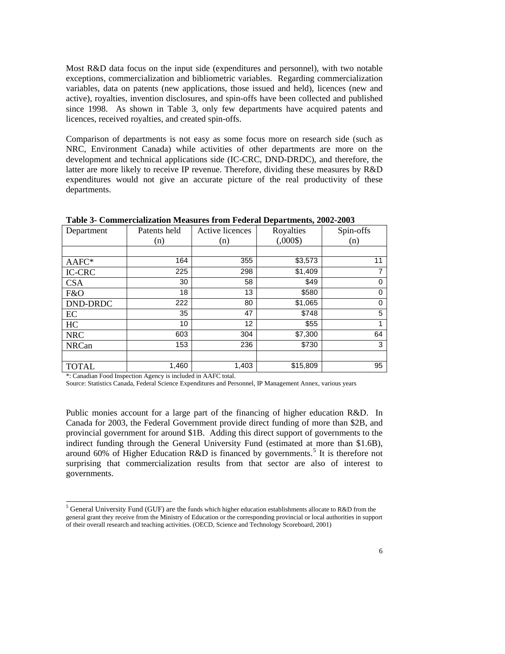<span id="page-5-0"></span>Most R&D data focus on the input side (expenditures and personnel), with two notable exceptions, commercialization and bibliometric variables. Regarding commercialization variables, data on patents (new applications, those issued and held), licences (new and active), royalties, invention disclosures, and spin-offs have been collected and published since 1998. As shown in Table 3, only few departments have acquired patents and licences, received royalties, and created spin-offs.

Comparison of departments is not easy as some focus more on research side (such as NRC, Environment Canada) while activities of other departments are more on the development and technical applications side (IC-CRC, DND-DRDC), and therefore, the latter are more likely to receive IP revenue. Therefore, dividing these measures by R&D expenditures would not give an accurate picture of the real productivity of these departments.

| Department      | Patents held | Active licences | Royalties | Spin-offs |
|-----------------|--------------|-----------------|-----------|-----------|
|                 | (n)          | (n)             | (.000\$)  | (n)       |
|                 |              |                 |           |           |
| AAFC*           | 164          | 355             | \$3,573   | 11        |
| <b>IC-CRC</b>   | 225          | 298             | \$1,409   | 7         |
| <b>CSA</b>      | 30           | 58              | \$49      | 0         |
| F&O             | 18           | 13              | \$580     | $\Omega$  |
| <b>DND-DRDC</b> | 222          | 80              | \$1,065   | 0         |
| EC              | 35           | 47              | \$748     | 5         |
| HC              | 10           | 12              | \$55      |           |
| <b>NRC</b>      | 603          | 304             | \$7,300   | 64        |
| <b>NRCan</b>    | 153          | 236             | \$730     | 3         |
|                 |              |                 |           |           |
| <b>TOTAL</b>    | 1,460        | 1,403           | \$15,809  | 95        |

**Table 3- Commercialization Measures from Federal Departments, 2002-2003** 

\*: Canadian Food Inspection Agency is included in AAFC total.

l

Source: Statistics Canada, Federal Science Expenditures and Personnel, IP Management Annex, various years

Public monies account for a large part of the financing of higher education R&D. In Canada for 2003, the Federal Government provide direct funding of more than \$2B, and provincial government for around \$1B. Adding this direct support of governments to the indirect funding through the General University Fund (estimated at more than \$1.6B), around 60% of Higher Education R&D is financed by governments.<sup>[5](#page-5-0)</sup> It is therefore not surprising that commercialization results from that sector are also of interest to governments.

<sup>&</sup>lt;sup>5</sup> General University Fund (GUF) are the funds which higher education establishments allocate to R&D from the general grant they receive from the Ministry of Education or the corresponding provincial or local authorities in support of their overall research and teaching activities. (OECD, Science and Technology Scoreboard, 2001)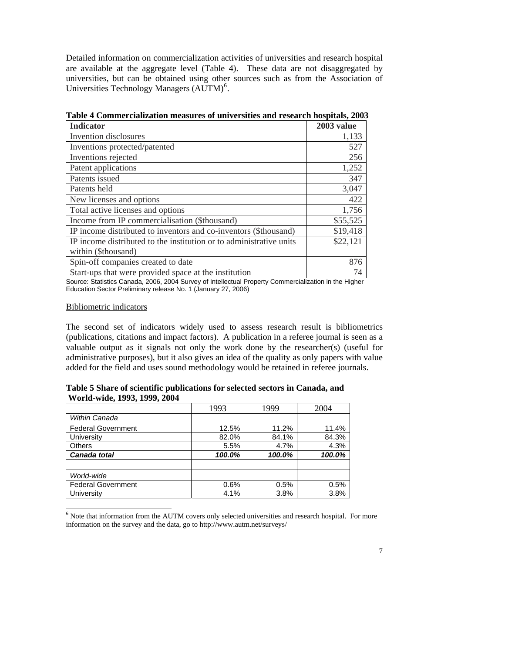<span id="page-6-0"></span>Detailed information on commercialization activities of universities and research hospital are available at the aggregate level (Table 4). These data are not disaggregated by universities, but can be obtained using other sources such as from the Association of Universities Technology Managers  $(AUTM)^6$  $(AUTM)^6$ .

| <b>Indicator</b>                                                    | 2003 value |
|---------------------------------------------------------------------|------------|
| Invention disclosures                                               | 1,133      |
| Inventions protected/patented                                       | 527        |
| Inventions rejected                                                 | 256        |
| Patent applications                                                 | 1,252      |
| Patents issued                                                      | 347        |
| Patents held                                                        | 3,047      |
| New licenses and options                                            | 422        |
| Total active licenses and options                                   | 1,756      |
| Income from IP commercialisation (\$thousand)                       | \$55,525   |
| IP income distributed to inventors and co-inventors (\$thousand)    | \$19,418   |
| IP income distributed to the institution or to administrative units | \$22,121   |
| within (\$thousand)                                                 |            |
| Spin-off companies created to date                                  | 876        |
| Start-ups that were provided space at the institution               | 74         |

**Table 4 Commercialization measures of universities and research hospitals, 2003**

Source: Statistics Canada, 2006, 2004 Survey of Intellectual Property Commercialization in the Higher Education Sector Preliminary release No. 1 (January 27, 2006)

### Bibliometric indicators

 $\overline{a}$ 

The second set of indicators widely used to assess research result is bibliometrics (publications, citations and impact factors). A publication in a referee journal is seen as a valuable output as it signals not only the work done by the researcher(s) (useful for administrative purposes), but it also gives an idea of the quality as only papers with value added for the field and uses sound methodology would be retained in referee journals.

**Table 5 Share of scientific publications for selected sectors in Canada, and World-wide, 1993, 1999, 2004** 

|                           | 1993   | 1999   | 2004   |
|---------------------------|--------|--------|--------|
| Within Canada             |        |        |        |
| <b>Federal Government</b> | 12.5%  | 11.2%  | 11.4%  |
| University                | 82.0%  | 84.1%  | 84.3%  |
| <b>Others</b>             | 5.5%   | 4.7%   | 4.3%   |
| Canada total              | 100.0% | 100.0% | 100.0% |
|                           |        |        |        |
| World-wide                |        |        |        |
| <b>Federal Government</b> | 0.6%   | 0.5%   | 0.5%   |
| University                | 4.1%   | 3.8%   | 3.8%   |

<sup>&</sup>lt;sup>6</sup> Note that information from the AUTM covers only selected universities and research hospital. For more information on the survey and the data, go to http://www.autm.net/surveys/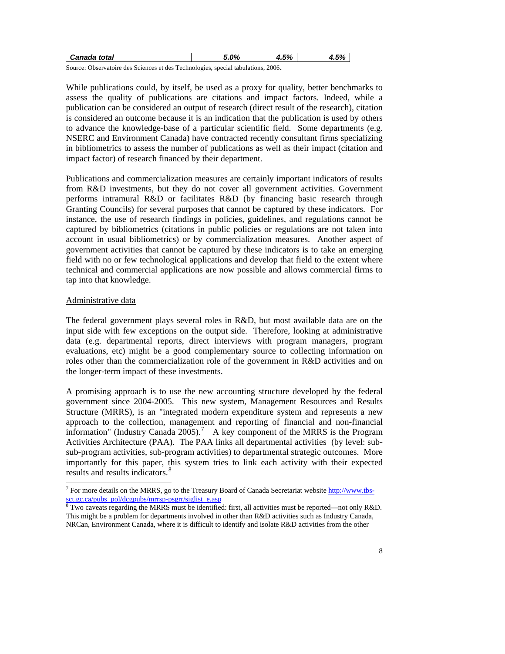<span id="page-7-0"></span>

| Canada total                                                                         | 5.0% | 5% | 1.5% |
|--------------------------------------------------------------------------------------|------|----|------|
| Source: Observatoire des Sciences et des Technologies, special tabulations.<br>2006. |      |    |      |

While publications could, by itself, be used as a proxy for quality, better benchmarks to assess the quality of publications are citations and impact factors. Indeed, while a publication can be considered an output of research (direct result of the research), citation is considered an outcome because it is an indication that the publication is used by others to advance the knowledge-base of a particular scientific field. Some departments (e.g. NSERC and Environment Canada) have contracted recently consultant firms specializing in bibliometrics to assess the number of publications as well as their impact (citation and impact factor) of research financed by their department.

Publications and commercialization measures are certainly important indicators of results from R&D investments, but they do not cover all government activities. Government performs intramural R&D or facilitates R&D (by financing basic research through Granting Councils) for several purposes that cannot be captured by these indicators. For instance, the use of research findings in policies, guidelines, and regulations cannot be captured by bibliometrics (citations in public policies or regulations are not taken into account in usual bibliometrics) or by commercialization measures. Another aspect of government activities that cannot be captured by these indicators is to take an emerging field with no or few technological applications and develop that field to the extent where technical and commercial applications are now possible and allows commercial firms to tap into that knowledge.

# Administrative data

The federal government plays several roles in R&D, but most available data are on the input side with few exceptions on the output side. Therefore, looking at administrative data (e.g. departmental reports, direct interviews with program managers, program evaluations, etc) might be a good complementary source to collecting information on roles other than the commercialization role of the government in R&D activities and on the longer-term impact of these investments.

A promising approach is to use the new accounting structure developed by the federal government since 2004-2005. This new system, Management Resources and Results Structure (MRRS), is an "integrated modern expenditure system and represents a new approach to the collection, management and reporting of financial and non-financial information" (Industry Canada 2005).<sup>[7](#page-7-0)</sup> A key component of the MRRS is the Program Activities Architecture (PAA). The PAA links all departmental activities (by level: subsub-program activities, sub-program activities) to departmental strategic outcomes. More importantly for this paper, this system tries to link each activity with their expected results and results indicators.<sup>[8](#page-8-0)</sup>

<sup>&</sup>lt;sup>7</sup> For more details on the MRRS, go to the Treasury Board of Canada Secretariat website [http://www.tbs](http://www.tbs-sct.gc.ca/pubs_pol/dcgpubs/mrrsp-psgrr/siglist_e.asp)[sct.gc.ca/pubs\\_pol/dcgpubs/mrrsp-psgrr/siglist\\_e.asp](http://www.tbs-sct.gc.ca/pubs_pol/dcgpubs/mrrsp-psgrr/siglist_e.asp)

<sup>&</sup>lt;sup>8</sup> Two caveats regarding the MRRS must be identified: first, all activities must be reported—not only R&D. This might be a problem for departments involved in other than R&D activities such as Industry Canada, NRCan, Environment Canada, where it is difficult to identify and isolate R&D activities from the other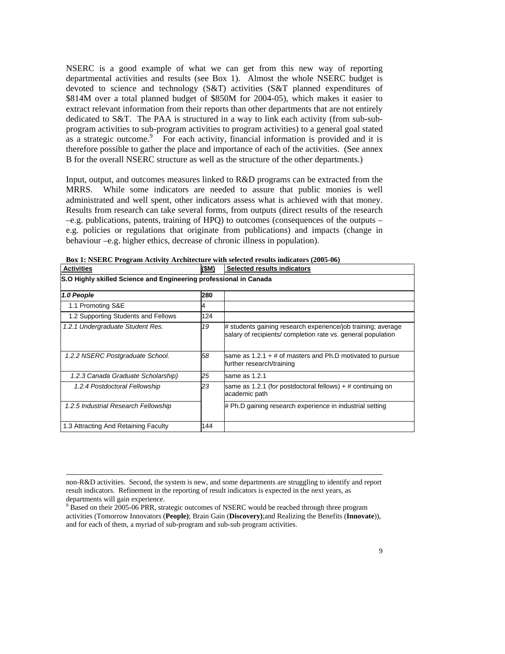<span id="page-8-0"></span>NSERC is a good example of what we can get from this new way of reporting departmental activities and results (see Box 1). Almost the whole NSERC budget is devoted to science and technology (S&T) activities (S&T planned expenditures of \$814M over a total planned budget of \$850M for 2004-05), which makes it easier to extract relevant information from their reports than other departments that are not entirely dedicated to S&T. The PAA is structured in a way to link each activity (from sub-subprogram activities to sub-program activities to program activities) to a general goal stated as a strategic outcome. $9$  For each activity, financial information is provided and it is therefore possible to gather the place and importance of each of the activities. (See annex B for the overall NSERC structure as well as the structure of the other departments.)

Input, output, and outcomes measures linked to R&D programs can be extracted from the MRRS. While some indicators are needed to assure that public monies is well administrated and well spent, other indicators assess what is achieved with that money. Results from research can take several forms, from outputs (direct results of the research –e.g. publications, patents, training of HPQ) to outcomes (consequences of the outputs – e.g. policies or regulations that originate from publications) and impacts (change in behaviour –e.g. higher ethics, decrease of chronic illness in population).

| <b>Activities</b>                                                 | (\$M) | Selected results indicators                                                                                                  |  |
|-------------------------------------------------------------------|-------|------------------------------------------------------------------------------------------------------------------------------|--|
| S.O Highly skilled Science and Engineering professional in Canada |       |                                                                                                                              |  |
| 1.0 People                                                        | 280   |                                                                                                                              |  |
| 1.1 Promoting S&E                                                 | 4     |                                                                                                                              |  |
| 1.2 Supporting Students and Fellows                               | 124   |                                                                                                                              |  |
| 1.2.1 Undergraduate Student Res.                                  | 19    | # students gaining research experience/job training; average<br>salary of recipients/ completion rate vs. general population |  |
| 1.2.2 NSERC Postgraduate School.                                  | 58    | same as $1.2.1 + #$ of masters and Ph.D motivated to pursue<br>further research/training                                     |  |
| 1.2.3 Canada Graduate Scholarship)                                | 25    | same as 1.2.1                                                                                                                |  |
| 1.2.4 Postdoctoral Fellowship                                     | 23    | same as 1.2.1 (for postdoctoral fellows) $+$ # continuing on<br>academic path                                                |  |
| 1.2.5 Industrial Research Fellowship                              |       | # Ph.D gaining research experience in industrial setting                                                                     |  |
| 1.3 Attracting And Retaining Faculty                              | 144   |                                                                                                                              |  |

**Box 1: NSERC Program Activity Architecture with selected results indicators (2005-06)** 

non-R&D activities. Second, the system is new, and some departments are struggling to identify and report result indicators. Refinement in the reporting of result indicators is expected in the next years, as departments will gain experience.

<sup>&</sup>lt;sup>9</sup> Based on their 2005-06 PRR, strategic outcomes of NSERC would be reached through three program activities (Tomorrow Innovators (**People)**; Brain Gain (**Discovery)**;and Realizing the Benefits (**Innovate**)), and for each of them, a myriad of sub-program and sub-sub program activities.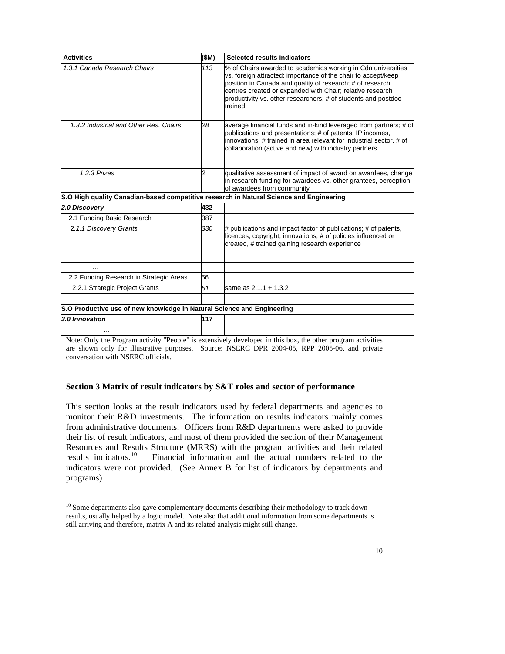<span id="page-9-0"></span>

| <b>Activities</b>                                                                       | \$M)           | Selected results indicators                                                                                                                                                                                                                                                                                                         |
|-----------------------------------------------------------------------------------------|----------------|-------------------------------------------------------------------------------------------------------------------------------------------------------------------------------------------------------------------------------------------------------------------------------------------------------------------------------------|
| 1.3.1 Canada Research Chairs                                                            | 113            | % of Chairs awarded to academics working in Cdn universities<br>vs. foreign attracted; importance of the chair to accept/keep<br>position in Canada and quality of research; # of research<br>centres created or expanded with Chair; relative research<br>productivity vs. other researchers, # of students and postdoc<br>trained |
| 1.3.2 Industrial and Other Res. Chairs                                                  | 28             | average financial funds and in-kind leveraged from partners; # of<br>publications and presentations; # of patents, IP incomes,<br>innovations; # trained in area relevant for industrial sector, # of<br>collaboration (active and new) with industry partners                                                                      |
| 1.3.3 Prizes                                                                            | $\mathfrak{p}$ | qualitative assessment of impact of award on awardees, change<br>in research funding for awardees vs. other grantees, perception<br>of awardees from community                                                                                                                                                                      |
| S.O High quality Canadian-based competitive research in Natural Science and Engineering |                |                                                                                                                                                                                                                                                                                                                                     |
| 2.0 Discovery                                                                           | 432            |                                                                                                                                                                                                                                                                                                                                     |
| 2.1 Funding Basic Research                                                              | 387            |                                                                                                                                                                                                                                                                                                                                     |
| 2.1.1 Discovery Grants                                                                  | 330            | # publications and impact factor of publications; # of patents,<br>licences, copyright, innovations; # of policies influenced or<br>created, # trained gaining research experience                                                                                                                                                  |
| .                                                                                       |                |                                                                                                                                                                                                                                                                                                                                     |
| 2.2 Funding Research in Strategic Areas                                                 | 56             |                                                                                                                                                                                                                                                                                                                                     |
| 2.2.1 Strategic Project Grants                                                          | 51             | same as 2.1.1 + 1.3.2                                                                                                                                                                                                                                                                                                               |
|                                                                                         |                |                                                                                                                                                                                                                                                                                                                                     |
| S.O Productive use of new knowledge in Natural Science and Engineering                  |                |                                                                                                                                                                                                                                                                                                                                     |
| 3.0 Innovation                                                                          | 117            |                                                                                                                                                                                                                                                                                                                                     |
| .                                                                                       |                |                                                                                                                                                                                                                                                                                                                                     |

Note: Only the Program activity "People" is extensively developed in this box, the other program activities are shown only for illustrative purposes. Source: NSERC DPR 2004-05, RPP 2005-06, and private conversation with NSERC officials.

# **Section 3 Matrix of result indicators by S&T roles and sector of performance**

This section looks at the result indicators used by federal departments and agencies to monitor their R&D investments. The information on results indicators mainly comes from administrative documents. Officers from R&D departments were asked to provide their list of result indicators, and most of them provided the section of their Management Resources and Results Structure (MRRS) with the program activities and their related results indicators.<sup>10</sup> Financial information and the actual numbers related to the Financial information and the actual numbers related to the indicators were not provided. (See Annex B for list of indicators by departments and programs)

<sup>&</sup>lt;sup>10</sup> Some departments also gave complementary documents describing their methodology to track down results, usually helped by a logic model. Note also that additional information from some departments is still arriving and therefore, matrix A and its related analysis might still change.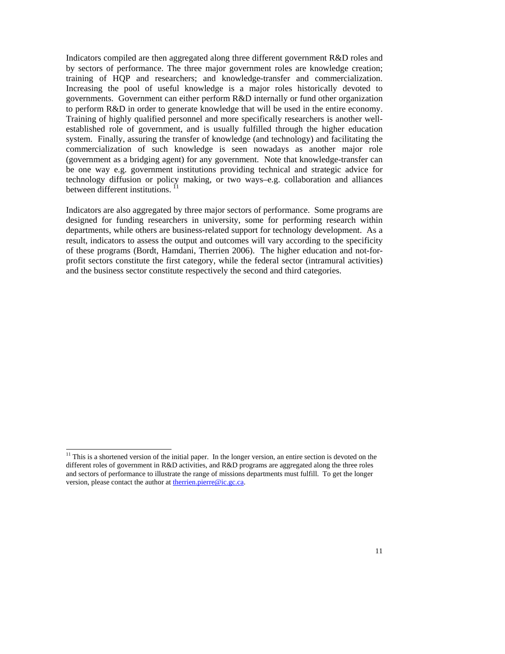<span id="page-10-0"></span>Indicators compiled are then aggregated along three different government R&D roles and by sectors of performance. The three major government roles are knowledge creation; training of HQP and researchers; and knowledge-transfer and commercialization. Increasing the pool of useful knowledge is a major roles historically devoted to governments. Government can either perform R&D internally or fund other organization to perform R&D in order to generate knowledge that will be used in the entire economy. Training of highly qualified personnel and more specifically researchers is another wellestablished role of government, and is usually fulfilled through the higher education system. Finally, assuring the transfer of knowledge (and technology) and facilitating the commercialization of such knowledge is seen nowadays as another major role (government as a bridging agent) for any government. Note that knowledge-transfer can be one way e.g. government institutions providing technical and strategic advice for technology diffusion or policy making, or two ways–e.g. collaboration and alliances between different institutions.<sup>[11](#page-10-0)</sup>

Indicators are also aggregated by three major sectors of performance. Some programs are designed for funding researchers in university, some for performing research within departments, while others are business-related support for technology development. As a result, indicators to assess the output and outcomes will vary according to the specificity of these programs (Bordt, Hamdani, Therrien 2006). The higher education and not-forprofit sectors constitute the first category, while the federal sector (intramural activities) and the business sector constitute respectively the second and third categories.

 $11$  This is a shortened version of the initial paper. In the longer version, an entire section is devoted on the different roles of government in R&D activities, and R&D programs are aggregated along the three roles and sectors of performance to illustrate the range of missions departments must fulfill. To get the longer version, please contact the author at [therrien.pierre@ic.gc.ca.](mailto:therrien.pierre@ic.gc.ca)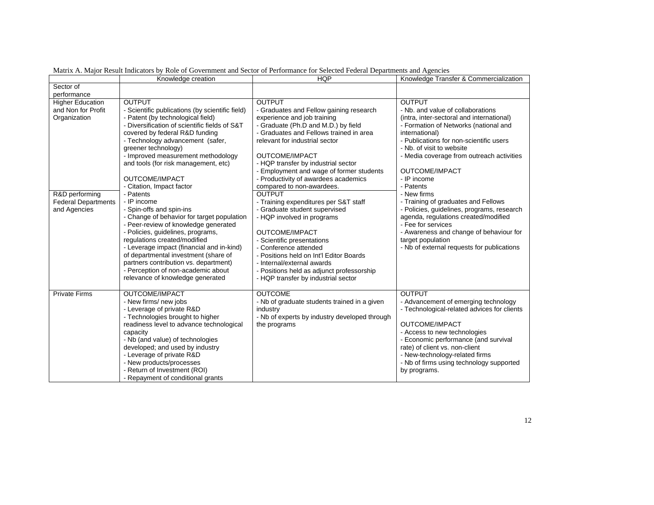|                                               | Knowledge creation                                                        | <b>HQP</b>                                               | Knowledge Transfer & Commercialization                               |
|-----------------------------------------------|---------------------------------------------------------------------------|----------------------------------------------------------|----------------------------------------------------------------------|
| Sector of                                     |                                                                           |                                                          |                                                                      |
| performance                                   |                                                                           |                                                          |                                                                      |
| <b>Higher Education</b><br>and Non for Profit | <b>OUTPUT</b><br>- Scientific publications (by scientific field)          | <b>OUTPUT</b><br>- Graduates and Fellow gaining research | <b>OUTPUT</b><br>- Nb. and value of collaborations                   |
| Organization                                  | - Patent (by technological field)                                         | experience and job training                              | (intra, inter-sectoral and international)                            |
|                                               | - Diversification of scientific fields of S&T                             | - Graduate (Ph.D and M.D.) by field                      | - Formation of Networks (national and                                |
|                                               | covered by federal R&D funding                                            | - Graduates and Fellows trained in area                  | international)                                                       |
|                                               | - Technology advancement (safer,<br>greener technology)                   | relevant for industrial sector                           | - Publications for non-scientific users<br>- Nb. of visit to website |
|                                               | - Improved measurement methodology                                        | OUTCOME/IMPACT                                           | - Media coverage from outreach activities                            |
|                                               | and tools (for risk management, etc)                                      | - HQP transfer by industrial sector                      |                                                                      |
|                                               |                                                                           | - Employment and wage of former students                 | OUTCOME/IMPACT                                                       |
|                                               | OUTCOME/IMPACT                                                            | - Productivity of awardees academics                     | - IP income                                                          |
|                                               | - Citation, Impact factor                                                 | compared to non-awardees.                                | - Patents                                                            |
| R&D performing                                | - Patents                                                                 | <b>OUTPUT</b>                                            | - New firms                                                          |
| <b>Federal Departments</b>                    | - IP income                                                               | - Training expenditures per S&T staff                    | - Training of graduates and Fellows                                  |
| and Agencies                                  | - Spin-offs and spin-ins                                                  | - Graduate student supervised                            | - Policies, guidelines, programs, research                           |
|                                               | - Change of behavior for target population                                | - HQP involved in programs                               | agenda, regulations created/modified                                 |
|                                               | - Peer-review of knowledge generated<br>- Policies, guidelines, programs, | OUTCOME/IMPACT                                           | - Fee for services<br>- Awareness and change of behaviour for        |
|                                               | regulations created/modified                                              | - Scientific presentations                               | target population                                                    |
|                                               | - Leverage impact (financial and in-kind)                                 | - Conference attended                                    | - Nb of external requests for publications                           |
|                                               | of departmental investment (share of                                      | - Positions held on Int'l Editor Boards                  |                                                                      |
|                                               | partners contribution vs. department)                                     | - Internal/external awards                               |                                                                      |
|                                               | - Perception of non-academic about                                        | - Positions held as adjunct professorship                |                                                                      |
|                                               | relevance of knowledge generated                                          | - HQP transfer by industrial sector                      |                                                                      |
|                                               |                                                                           |                                                          |                                                                      |
| <b>Private Firms</b>                          | <b>OUTCOME/IMPACT</b>                                                     | <b>OUTCOME</b>                                           | <b>OUTPUT</b>                                                        |
|                                               | - New firms/ new jobs                                                     | - Nb of graduate students trained in a given             | - Advancement of emerging technology                                 |
|                                               | - Leverage of private R&D                                                 | industry                                                 | - Technological-related advices for clients                          |
|                                               | - Technologies brought to higher                                          | - Nb of experts by industry developed through            | OUTCOME/IMPACT                                                       |
|                                               | readiness level to advance technological<br>capacity                      | the programs                                             | - Access to new technologies                                         |
|                                               | - Nb (and value) of technologies                                          |                                                          | - Economic performance (and survival                                 |
|                                               | developed; and used by industry                                           |                                                          | rate) of client vs. non-client                                       |
|                                               | - Leverage of private R&D                                                 |                                                          | - New-technology-related firms                                       |
|                                               | - New products/processes                                                  |                                                          | - Nb of firms using technology supported                             |
|                                               | - Return of Investment (ROI)                                              |                                                          | by programs.                                                         |
|                                               | - Repayment of conditional grants                                         |                                                          |                                                                      |

Matrix A. Major Result Indicators by Role of Government and Sector of Performance for Selected Federal Departments and Agencies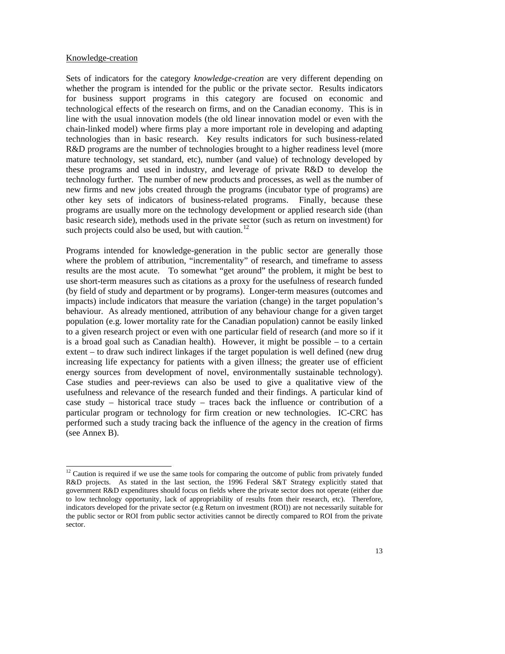#### <span id="page-12-0"></span>Knowledge-creation

 $\overline{a}$ 

Sets of indicators for the category *knowledge-creation* are very different depending on whether the program is intended for the public or the private sector. Results indicators for business support programs in this category are focused on economic and technological effects of the research on firms, and on the Canadian economy. This is in line with the usual innovation models (the old linear innovation model or even with the chain-linked model) where firms play a more important role in developing and adapting technologies than in basic research. Key results indicators for such business-related R&D programs are the number of technologies brought to a higher readiness level (more mature technology, set standard, etc), number (and value) of technology developed by these programs and used in industry, and leverage of private R&D to develop the technology further. The number of new products and processes, as well as the number of new firms and new jobs created through the programs (incubator type of programs) are other key sets of indicators of business-related programs. Finally, because these programs are usually more on the technology development or applied research side (than basic research side), methods used in the private sector (such as return on investment) for such projects could also be used, but with caution.<sup>[12](#page-12-0)</sup>

Programs intended for knowledge-generation in the public sector are generally those where the problem of attribution, "incrementality" of research, and timeframe to assess results are the most acute. To somewhat "get around" the problem, it might be best to use short-term measures such as citations as a proxy for the usefulness of research funded (by field of study and department or by programs). Longer-term measures (outcomes and impacts) include indicators that measure the variation (change) in the target population's behaviour. As already mentioned, attribution of any behaviour change for a given target population (e.g. lower mortality rate for the Canadian population) cannot be easily linked to a given research project or even with one particular field of research (and more so if it is a broad goal such as Canadian health). However, it might be possible – to a certain extent – to draw such indirect linkages if the target population is well defined (new drug increasing life expectancy for patients with a given illness; the greater use of efficient energy sources from development of novel, environmentally sustainable technology). Case studies and peer-reviews can also be used to give a qualitative view of the usefulness and relevance of the research funded and their findings. A particular kind of case study – historical trace study – traces back the influence or contribution of a particular program or technology for firm creation or new technologies. IC-CRC has performed such a study tracing back the influence of the agency in the creation of firms (see Annex B).

 $12$  Caution is required if we use the same tools for comparing the outcome of public from privately funded R&D projects. As stated in the last section, the 1996 Federal S&T Strategy explicitly stated that government R&D expenditures should focus on fields where the private sector does not operate (either due to low technology opportunity, lack of appropriability of results from their research, etc). Therefore, indicators developed for the private sector (e.g Return on investment (ROI)) are not necessarily suitable for the public sector or ROI from public sector activities cannot be directly compared to ROI from the private sector.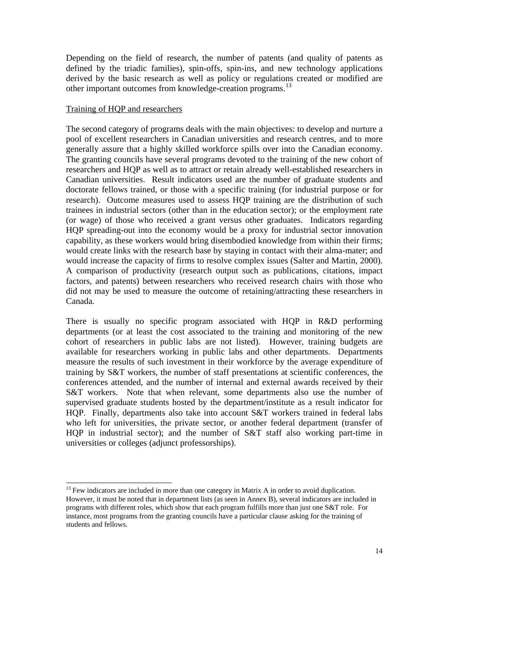<span id="page-13-0"></span>Depending on the field of research, the number of patents (and quality of patents as defined by the triadic families), spin-offs, spin-ins, and new technology applications derived by the basic research as well as policy or regulations created or modified are other important outcomes from knowledge-creation programs.<sup>[13](#page-13-0)</sup>

## Training of HQP and researchers

l

The second category of programs deals with the main objectives: to develop and nurture a pool of excellent researchers in Canadian universities and research centres, and to more generally assure that a highly skilled workforce spills over into the Canadian economy. The granting councils have several programs devoted to the training of the new cohort of researchers and HQP as well as to attract or retain already well-established researchers in Canadian universities. Result indicators used are the number of graduate students and doctorate fellows trained, or those with a specific training (for industrial purpose or for research). Outcome measures used to assess HQP training are the distribution of such trainees in industrial sectors (other than in the education sector); or the employment rate (or wage) of those who received a grant versus other graduates. Indicators regarding HQP spreading-out into the economy would be a proxy for industrial sector innovation capability, as these workers would bring disembodied knowledge from within their firms; would create links with the research base by staying in contact with their alma-mater; and would increase the capacity of firms to resolve complex issues (Salter and Martin, 2000). A comparison of productivity (research output such as publications, citations, impact factors, and patents) between researchers who received research chairs with those who did not may be used to measure the outcome of retaining/attracting these researchers in Canada.

There is usually no specific program associated with HQP in R&D performing departments (or at least the cost associated to the training and monitoring of the new cohort of researchers in public labs are not listed). However, training budgets are available for researchers working in public labs and other departments. Departments measure the results of such investment in their workforce by the average expenditure of training by S&T workers, the number of staff presentations at scientific conferences, the conferences attended, and the number of internal and external awards received by their S&T workers. Note that when relevant, some departments also use the number of supervised graduate students hosted by the department/institute as a result indicator for HQP. Finally, departments also take into account S&T workers trained in federal labs who left for universities, the private sector, or another federal department (transfer of HQP in industrial sector); and the number of S&T staff also working part-time in universities or colleges (adjunct professorships).

 $13$  Few indicators are included in more than one category in Matrix A in order to avoid duplication. However, it must be noted that in department lists (as seen in Annex B), several indicators are included in programs with different roles, which show that each program fulfills more than just one S&T role. For instance, most programs from the granting councils have a particular clause asking for the training of students and fellows.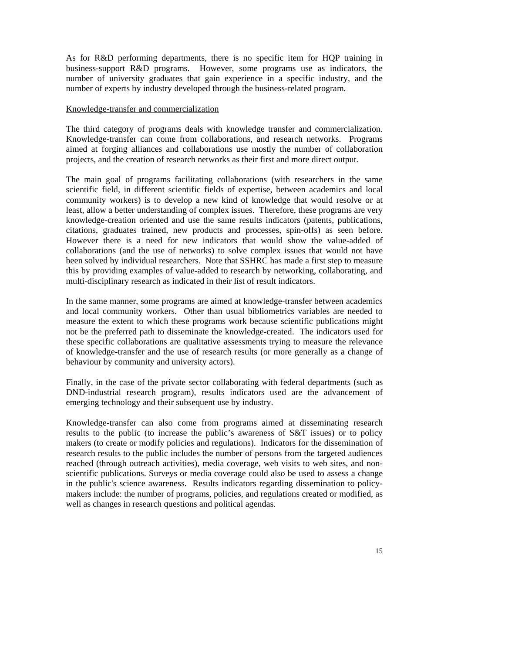As for R&D performing departments, there is no specific item for HQP training in business-support R&D programs. However, some programs use as indicators, the number of university graduates that gain experience in a specific industry, and the number of experts by industry developed through the business-related program.

### Knowledge-transfer and commercialization

The third category of programs deals with knowledge transfer and commercialization. Knowledge-transfer can come from collaborations, and research networks. Programs aimed at forging alliances and collaborations use mostly the number of collaboration projects, and the creation of research networks as their first and more direct output.

The main goal of programs facilitating collaborations (with researchers in the same scientific field, in different scientific fields of expertise, between academics and local community workers) is to develop a new kind of knowledge that would resolve or at least, allow a better understanding of complex issues. Therefore, these programs are very knowledge-creation oriented and use the same results indicators (patents, publications, citations, graduates trained, new products and processes, spin-offs) as seen before. However there is a need for new indicators that would show the value-added of collaborations (and the use of networks) to solve complex issues that would not have been solved by individual researchers. Note that SSHRC has made a first step to measure this by providing examples of value-added to research by networking, collaborating, and multi-disciplinary research as indicated in their list of result indicators.

In the same manner, some programs are aimed at knowledge-transfer between academics and local community workers. Other than usual bibliometrics variables are needed to measure the extent to which these programs work because scientific publications might not be the preferred path to disseminate the knowledge-created. The indicators used for these specific collaborations are qualitative assessments trying to measure the relevance of knowledge-transfer and the use of research results (or more generally as a change of behaviour by community and university actors).

Finally, in the case of the private sector collaborating with federal departments (such as DND-industrial research program), results indicators used are the advancement of emerging technology and their subsequent use by industry.

Knowledge-transfer can also come from programs aimed at disseminating research results to the public (to increase the public's awareness of S&T issues) or to policy makers (to create or modify policies and regulations). Indicators for the dissemination of research results to the public includes the number of persons from the targeted audiences reached (through outreach activities), media coverage, web visits to web sites, and nonscientific publications. Surveys or media coverage could also be used to assess a change in the public's science awareness. Results indicators regarding dissemination to policymakers include: the number of programs, policies, and regulations created or modified, as well as changes in research questions and political agendas.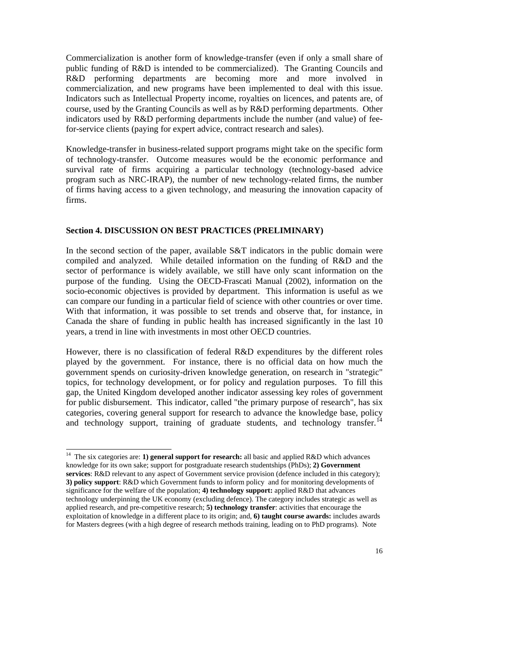<span id="page-15-0"></span>Commercialization is another form of knowledge-transfer (even if only a small share of public funding of R&D is intended to be commercialized). The Granting Councils and R&D performing departments are becoming more and more involved in commercialization, and new programs have been implemented to deal with this issue. Indicators such as Intellectual Property income, royalties on licences, and patents are, of course, used by the Granting Councils as well as by R&D performing departments. Other indicators used by R&D performing departments include the number (and value) of feefor-service clients (paying for expert advice, contract research and sales).

Knowledge-transfer in business-related support programs might take on the specific form of technology-transfer. Outcome measures would be the economic performance and survival rate of firms acquiring a particular technology (technology-based advice program such as NRC-IRAP), the number of new technology-related firms, the number of firms having access to a given technology, and measuring the innovation capacity of firms.

## **Section 4. DISCUSSION ON BEST PRACTICES (PRELIMINARY)**

In the second section of the paper, available S&T indicators in the public domain were compiled and analyzed. While detailed information on the funding of R&D and the sector of performance is widely available, we still have only scant information on the purpose of the funding. Using the OECD-Frascati Manual (2002), information on the socio-economic objectives is provided by department. This information is useful as we can compare our funding in a particular field of science with other countries or over time. With that information, it was possible to set trends and observe that, for instance, in Canada the share of funding in public health has increased significantly in the last 10 years, a trend in line with investments in most other OECD countries.

However, there is no classification of federal R&D expenditures by the different roles played by the government. For instance, there is no official data on how much the government spends on curiosity-driven knowledge generation, on research in "strategic" topics, for technology development, or for policy and regulation purposes. To fill this gap, the United Kingdom developed another indicator assessing key roles of government for public disbursement. This indicator, called "the primary purpose of research", has six categories, covering general support for research to advance the knowledge base, policy and technology support, training of graduate students, and technology transfer.<sup>[14](#page-15-0)</sup>

<sup>14</sup> The six categories are: **1) general support for research:** all basic and applied R&D which advances knowledge for its own sake; support for postgraduate research studentships (PhDs); **2) Government services**: R&D relevant to any aspect of Government service provision (defence included in this category); **3) policy support**: R&D which Government funds to inform policy and for monitoring developments of significance for the welfare of the population; **4) technology support:** applied R&D that advances technology underpinning the UK economy (excluding defence). The category includes strategic as well as applied research, and pre-competitive research; **5) technology transfer**: activities that encourage the exploitation of knowledge in a different place to its origin; and, **6) taught course awards:** includes awards for Masters degrees (with a high degree of research methods training, leading on to PhD programs). Note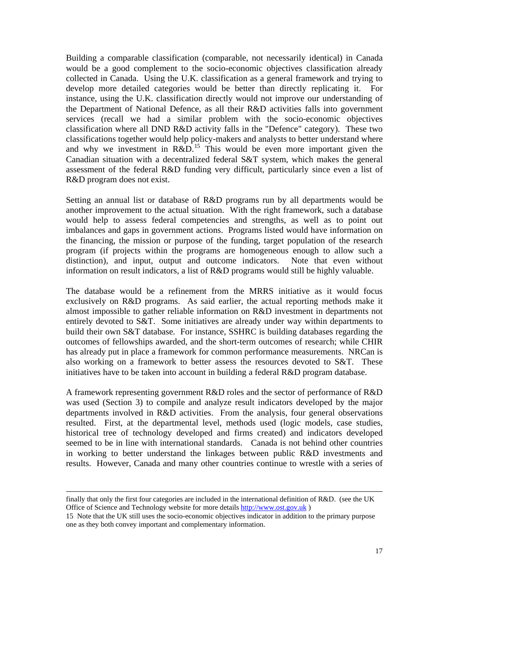<span id="page-16-0"></span>Building a comparable classification (comparable, not necessarily identical) in Canada would be a good complement to the socio-economic objectives classification already collected in Canada. Using the U.K. classification as a general framework and trying to develop more detailed categories would be better than directly replicating it. For instance, using the U.K. classification directly would not improve our understanding of the Department of National Defence, as all their R&D activities falls into government services (recall we had a similar problem with the socio-economic objectives classification where all DND R&D activity falls in the "Defence" category). These two classifications together would help policy-makers and analysts to better understand where and why we investment in R&D.<sup>[15](#page-16-0)</sup> This would be even more important given the Canadian situation with a decentralized federal S&T system, which makes the general assessment of the federal R&D funding very difficult, particularly since even a list of R&D program does not exist.

Setting an annual list or database of R&D programs run by all departments would be another improvement to the actual situation. With the right framework, such a database would help to assess federal competencies and strengths, as well as to point out imbalances and gaps in government actions. Programs listed would have information on the financing, the mission or purpose of the funding, target population of the research program (if projects within the programs are homogeneous enough to allow such a distinction), and input, output and outcome indicators. Note that even without information on result indicators, a list of R&D programs would still be highly valuable.

The database would be a refinement from the MRRS initiative as it would focus exclusively on R&D programs. As said earlier, the actual reporting methods make it almost impossible to gather reliable information on R&D investment in departments not entirely devoted to S&T. Some initiatives are already under way within departments to build their own S&T database. For instance, SSHRC is building databases regarding the outcomes of fellowships awarded, and the short-term outcomes of research; while CHIR has already put in place a framework for common performance measurements. NRCan is also working on a framework to better assess the resources devoted to S&T. These initiatives have to be taken into account in building a federal R&D program database.

A framework representing government R&D roles and the sector of performance of R&D was used (Section 3) to compile and analyze result indicators developed by the major departments involved in R&D activities. From the analysis, four general observations resulted. First, at the departmental level, methods used (logic models, case studies, historical tree of technology developed and firms created) and indicators developed seemed to be in line with international standards. Canada is not behind other countries in working to better understand the linkages between public R&D investments and results. However, Canada and many other countries continue to wrestle with a series of

finally that only the first four categories are included in the international definition of R&D. (see the UK Office of Science and Technology website for more details [http://www.ost.gov.uk](http://www.ost.gov.uk/) )

<sup>15</sup> Note that the UK still uses the socio-economic objectives indicator in addition to the primary purpose one as they both convey important and complementary information.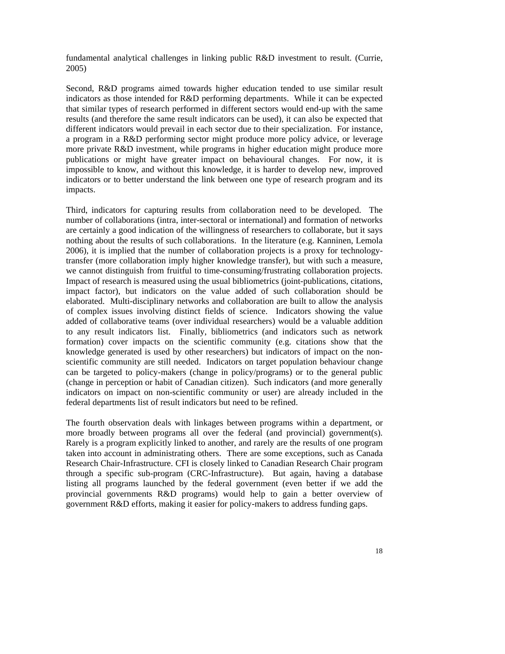fundamental analytical challenges in linking public R&D investment to result. (Currie, 2005)

Second, R&D programs aimed towards higher education tended to use similar result indicators as those intended for R&D performing departments. While it can be expected that similar types of research performed in different sectors would end-up with the same results (and therefore the same result indicators can be used), it can also be expected that different indicators would prevail in each sector due to their specialization. For instance, a program in a R&D performing sector might produce more policy advice, or leverage more private R&D investment, while programs in higher education might produce more publications or might have greater impact on behavioural changes. For now, it is impossible to know, and without this knowledge, it is harder to develop new, improved indicators or to better understand the link between one type of research program and its impacts.

Third, indicators for capturing results from collaboration need to be developed. The number of collaborations (intra, inter-sectoral or international) and formation of networks are certainly a good indication of the willingness of researchers to collaborate, but it says nothing about the results of such collaborations. In the literature (e.g. Kanninen, Lemola 2006), it is implied that the number of collaboration projects is a proxy for technologytransfer (more collaboration imply higher knowledge transfer), but with such a measure, we cannot distinguish from fruitful to time-consuming/frustrating collaboration projects. Impact of research is measured using the usual bibliometrics (joint-publications, citations, impact factor), but indicators on the value added of such collaboration should be elaborated. Multi-disciplinary networks and collaboration are built to allow the analysis of complex issues involving distinct fields of science. Indicators showing the value added of collaborative teams (over individual researchers) would be a valuable addition to any result indicators list. Finally, bibliometrics (and indicators such as network formation) cover impacts on the scientific community (e.g. citations show that the knowledge generated is used by other researchers) but indicators of impact on the nonscientific community are still needed. Indicators on target population behaviour change can be targeted to policy-makers (change in policy/programs) or to the general public (change in perception or habit of Canadian citizen). Such indicators (and more generally indicators on impact on non-scientific community or user) are already included in the federal departments list of result indicators but need to be refined.

The fourth observation deals with linkages between programs within a department, or more broadly between programs all over the federal (and provincial) government(s). Rarely is a program explicitly linked to another, and rarely are the results of one program taken into account in administrating others. There are some exceptions, such as Canada Research Chair-Infrastructure. CFI is closely linked to Canadian Research Chair program through a specific sub-program (CRC-Infrastructure). But again, having a database listing all programs launched by the federal government (even better if we add the provincial governments R&D programs) would help to gain a better overview of government R&D efforts, making it easier for policy-makers to address funding gaps.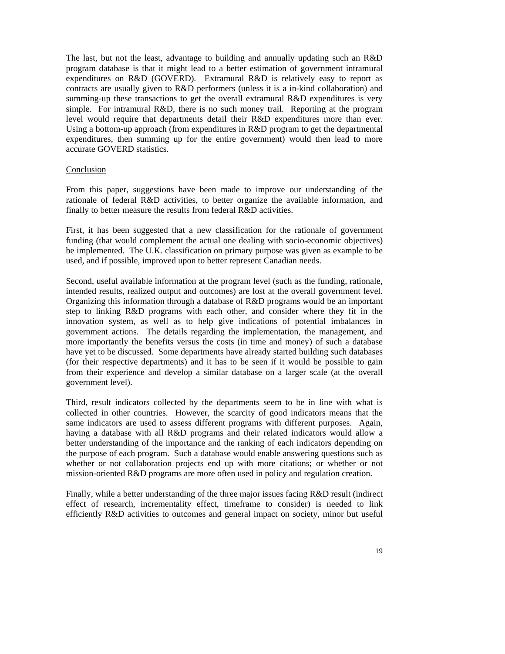The last, but not the least, advantage to building and annually updating such an R&D program database is that it might lead to a better estimation of government intramural expenditures on R&D (GOVERD). Extramural R&D is relatively easy to report as contracts are usually given to R&D performers (unless it is a in-kind collaboration) and summing-up these transactions to get the overall extramural R&D expenditures is very simple. For intramural R&D, there is no such money trail. Reporting at the program level would require that departments detail their R&D expenditures more than ever. Using a bottom-up approach (from expenditures in R&D program to get the departmental expenditures, then summing up for the entire government) would then lead to more accurate GOVERD statistics.

### Conclusion

From this paper, suggestions have been made to improve our understanding of the rationale of federal R&D activities, to better organize the available information, and finally to better measure the results from federal R&D activities.

First, it has been suggested that a new classification for the rationale of government funding (that would complement the actual one dealing with socio-economic objectives) be implemented. The U.K. classification on primary purpose was given as example to be used, and if possible, improved upon to better represent Canadian needs.

Second, useful available information at the program level (such as the funding, rationale, intended results, realized output and outcomes) are lost at the overall government level. Organizing this information through a database of R&D programs would be an important step to linking R&D programs with each other, and consider where they fit in the innovation system, as well as to help give indications of potential imbalances in government actions. The details regarding the implementation, the management, and more importantly the benefits versus the costs (in time and money) of such a database have yet to be discussed. Some departments have already started building such databases (for their respective departments) and it has to be seen if it would be possible to gain from their experience and develop a similar database on a larger scale (at the overall government level).

Third, result indicators collected by the departments seem to be in line with what is collected in other countries. However, the scarcity of good indicators means that the same indicators are used to assess different programs with different purposes. Again, having a database with all R&D programs and their related indicators would allow a better understanding of the importance and the ranking of each indicators depending on the purpose of each program. Such a database would enable answering questions such as whether or not collaboration projects end up with more citations; or whether or not mission-oriented R&D programs are more often used in policy and regulation creation.

Finally, while a better understanding of the three major issues facing R&D result (indirect effect of research, incrementality effect, timeframe to consider) is needed to link efficiently R&D activities to outcomes and general impact on society, minor but useful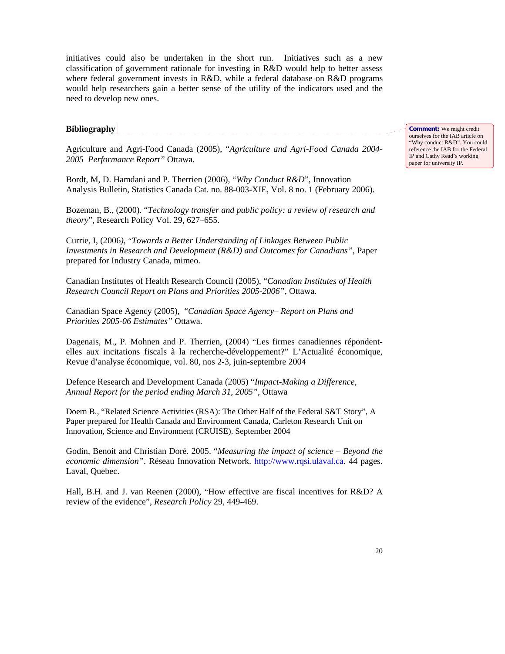initiatives could also be undertaken in the short run. Initiatives such as a new classification of government rationale for investing in R&D would help to better assess where federal government invests in R&D, while a federal database on R&D programs would help researchers gain a better sense of the utility of the indicators used and the need to develop new ones.

**Bibliography** 

Agriculture and Agri-Food Canada (2005), "*Agriculture and Agri-Food Canada 2004- 2005 Performance Report"* Ottawa.

Bordt, M, D. Hamdani and P. Therrien (2006), "*Why Conduct R&D*", Innovation Analysis Bulletin, Statistics Canada Cat. no. 88-003-XIE, Vol. 8 no. 1 (February 2006).

Bozeman, B., (2000). "*Technology transfer and public policy: a review of research and theory*", Research Policy Vol. 29, 627–655.

Currie, I, (2006*), "Towards a Better Understanding of Linkages Between Public Investments in Research and Development (R&D) and Outcomes for Canadians"*, Paper prepared for Industry Canada, mimeo.

Canadian Institutes of Health Research Council (2005), "*Canadian Institutes of Health Research Council Report on Plans and Priorities 2005-2006",* Ottawa.

Canadian Space Agency (2005), "*Canadian Space Agency– Report on Plans and Priorities 2005-06 Estimates"* Ottawa.

Dagenais, M., P. Mohnen and P. Therrien, (2004) "Les firmes canadiennes répondentelles aux incitations fiscals à la recherche-développement?" L'Actualité économique, Revue d'analyse économique, vol. 80, nos 2-3, juin-septembre 2004

Defence Research and Development Canada (2005) "*Impact-Making a Difference, Annual Report for the period ending March 31, 2005"*, Ottawa

Doern B., "Related Science Activities (RSA): The Other Half of the Federal S&T Story", A Paper prepared for Health Canada and Environment Canada, Carleton Research Unit on Innovation, Science and Environment (CRUISE). September 2004

Godin, Benoit and Christian Doré. 2005. "*Measuring the impact of science – Beyond the economic dimension"*. Réseau Innovation Network. http://www.rqsi.ulaval.ca. 44 pages. Laval, Quebec.

Hall, B.H. and J. van Reenen (2000), "How effective are fiscal incentives for R&D? A review of the evidence", *Research Policy* 29, 449-469.

**Comment:** We might credit ourselves for the IAB article on "Why conduct R&D". You could reference the IAB for the Federal IP and Cathy Read's working paper for university IP.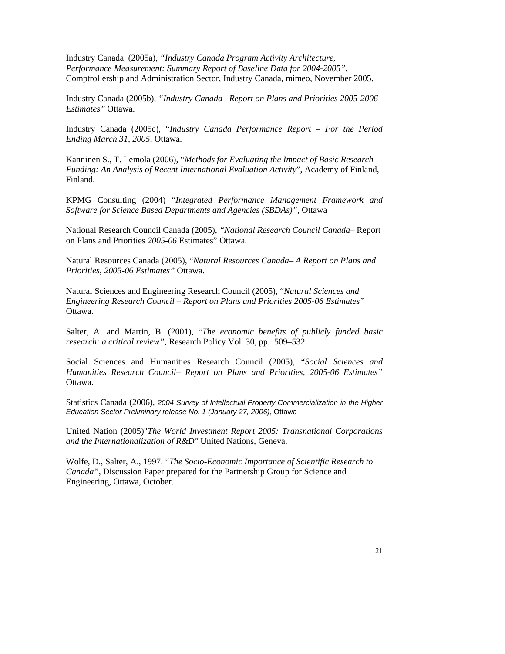Industry Canada (2005a), *"Industry Canada Program Activity Architecture, Performance Measurement: Summary Report of Baseline Data for 2004-2005"*, Comptrollership and Administration Sector, Industry Canada, mimeo, November 2005.

Industry Canada (2005b), *"Industry Canada– Report on Plans and Priorities 2005-2006 Estimates"* Ottawa.

Industry Canada (2005c), "*Industry Canada Performance Report – For the Period Ending March 31, 2005,* Ottawa.

Kanninen S., T. Lemola (2006), "*Methods for Evaluating the Impact of Basic Research Funding: An Analysis of Recent International Evaluation Activity*", Academy of Finland, Finland.

KPMG Consulting (2004) "*Integrated Performance Management Framework and Software for Science Based Departments and Agencies (SBDAs)"*, Ottawa

National Research Council Canada (2005), *"National Research Council Canada*– Report on Plans and Priorities *2005-06* Estimates" Ottawa.

Natural Resources Canada (2005), "*Natural Resources Canada*– *A Report on Plans and Priorities*, *2005-06 Estimates"* Ottawa.

Natural Sciences and Engineering Research Council (2005), "*Natural Sciences and Engineering Research Council – Report on Plans and Priorities 2005-06 Estimates"*  Ottawa.

Salter, A. and Martin, B. (2001), "*The economic benefits of publicly funded basic research: a critical review"*, Research Policy Vol. 30, pp. .509–532

Social Sciences and Humanities Research Council (2005), "*Social Sciences and Humanities Research Council*– *Report on Plans and Priorities, 2005-06 Estimates"*  Ottawa.

Statistics Canada (2006), *2004 Survey of Intellectual Property Commercialization in the Higher Education Sector Preliminary release No. 1 (January 27, 2006)*, Ottawa

United Nation (2005)"*The World Investment Report 2005: Transnational Corporations and the Internationalization of R&D"* United Nations, Geneva.

Wolfe, D., Salter, A., 1997. "*The Socio-Economic Importance of Scientific Research to Canada"*, Discussion Paper prepared for the Partnership Group for Science and Engineering, Ottawa, October.